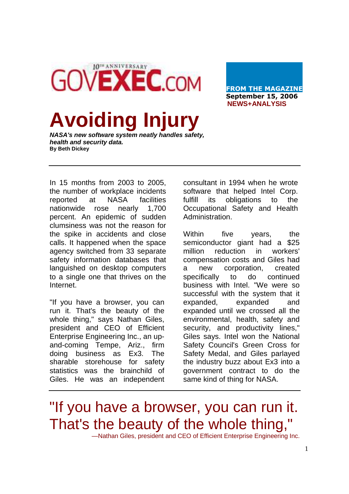10<sup>TH</sup> ANNIVERSARY **GOVEXEC.COM** 

**FROM THE MAGAZINE September 15, 2006 NEWS+ANALYSIS** 

## **Avoiding Injury**

**NASA's new software system neatly handles safety, health and security data. By Beth Dickey** 

In 15 months from 2003 to 2005, the number of workplace incidents reported at NASA facilities nationwide rose nearly 1,700 percent. An epidemic of sudden clumsiness was not the reason for the spike in accidents and close calls. It happened when the space agency switched from 33 separate safety information databases that languished on desktop computers to a single one that thrives on the Internet.

"If you have a browser, you can run it. That's the beauty of the whole thing," says Nathan Giles, president and CEO of Efficient Enterprise Engineering Inc., an upand-coming Tempe, Ariz., firm doing business as Ex3. The sharable storehouse for safety statistics was the brainchild of Giles. He was an independent consultant in 1994 when he wrote software that helped Intel Corp. fulfill its obligations to the Occupational Safety and Health Administration.

Within five years, the semiconductor giant had a \$25 million reduction in workers' compensation costs and Giles had a new corporation, created specifically to do continued business with Intel. "We were so successful with the system that it expanded, expanded and expanded until we crossed all the environmental, health, safety and security, and productivity lines," Giles says. Intel won the National Safety Council's Green Cross for Safety Medal, and Giles parlayed the industry buzz about Ex3 into a government contract to do the same kind of thing for NASA.

"If you have a browser, you can run it. That's the beauty of the whole thing,"

—Nathan Giles, president and CEO of Efficient Enterprise Engineering Inc.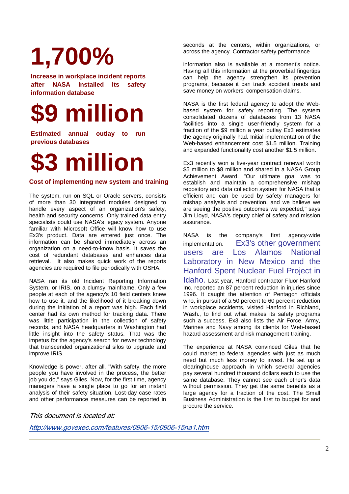## **1,700%**

**Increase in workplace incident reports after NASA installed its safety information database** 



**Estimated annual outlay to run previous databases** 



## **Cost of implementing new system and training**

The system, run on SQL or Oracle servers, consists of more than 30 integrated modules designed to handle every aspect of an organization's safety, health and security concerns. Only trained data entry specialists could use NASA's legacy system. Anyone familiar with Microsoft Office will know how to use Ex3's product. Data are entered just once. The information can be shared immediately across an organization on a need-to-know basis. It saves the cost of redundant databases and enhances data retrieval. It also makes quick work of the reports agencies are required to file periodically with OSHA.

NASA ran its old Incident Reporting Information System, or IRIS, on a clumsy mainframe. Only a few people at each of the agency's 10 field centers knew how to use it, and the likelihood of it breaking down during the initiation of a report was high. Each field center had its own method for tracking data. There was little participation in the collection of safety records, and NASA headquarters in Washington had little insight into the safety status. That was the impetus for the agency's search for newer technology that transcended organizational silos to upgrade and improve IRIS.

Knowledge is power, after all. "With safety, the more people you have involved in the process, the better job you do," says Giles. Now, for the first time, agency managers have a single place to go for an instant analysis of their safety situation. Lost-day case rates and other performance measures can be reported in seconds at the centers, within organizations, or across the agency. Contractor safety performance

information also is available at a moment's notice. Having all this information at the proverbial fingertips can help the agency strengthen its prevention programs, because it can track accident trends and save money on workers' compensation claims.

NASA is the first federal agency to adopt the Webbased system for safety reporting. The system consolidated dozens of databases from 13 NASA facilities into a single user-friendly system for a fraction of the \$9 million a year outlay Ex3 estimates the agency originally had. Initial implementation of the Web-based enhancement cost \$1.5 million. Training and expanded functionality cost another \$1.5 million.

Ex3 recently won a five-year contract renewal worth \$5 million to \$8 million and shared in a NASA Group Achievement Award. "Our ultimate goal was to establish and maintain a comprehensive mishap repository and data collection system for NASA that is efficient and can be used by safety managers for mishap analysis and prevention, and we believe we are seeing the positive outcomes we expected," says Jim Lloyd, NASA's deputy chief of safety and mission assurance.

NASA is the company's first agency-wide implementation. Ex3's other government users are Los Alamos National Laboratory in New Mexico and the Hanford Spent Nuclear Fuel Project in

Idaho. Last year, Hanford contractor Fluor Hanford Inc. reported an 87 percent reduction in injuries since 1996. It caught the attention of Pentagon officials who, in pursuit of a 50 percent to 60 percent reduction in workplace accidents, visited Hanford in Richland, Wash., to find out what makes its safety programs such a success. Ex3 also lists the Air Force, Army, Marines and Navy among its clients for Web-based hazard assessment and risk management training.

The experience at NASA convinced Giles that he could market to federal agencies with just as much need but much less money to invest. He set up a clearinghouse approach in which several agencies pay several hundred thousand dollars each to use the same database. They cannot see each other's data without permission. They get the same benefits as a large agency for a fraction of the cost. The Small Business Administration is the first to budget for and procure the service.

This document is located at:

http://www.govexec.com/features/0906-15/0906-15na1.htm